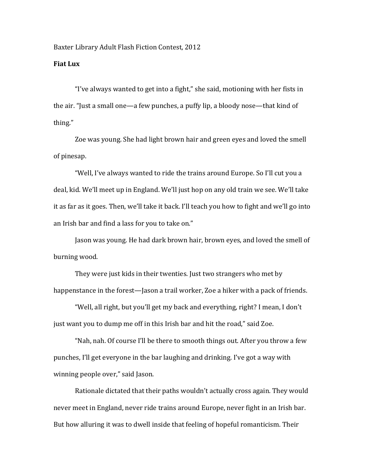Baxter Library Adult Flash Fiction Contest, 2012

## **Fiat Lux**

"I've always wanted to get into a fight," she said, motioning with her fists in the air. "Just a small one—a few punches, a puffy lip, a bloody nose—that kind of thing."

Zoe was young. She had light brown hair and green eyes and loved the smell of pinesap.

"Well, I've always wanted to ride the trains around Europe. So I'll cut you a deal, kid. We'll meet up in England. We'll just hop on any old train we see. We'll take it as far as it goes. Then, we'll take it back. I'll teach you how to fight and we'll go into an Irish bar and find a lass for you to take on."

Jason was young. He had dark brown hair, brown eyes, and loved the smell of burning wood.

They were just kids in their twenties. Just two strangers who met by happenstance in the forest—Jason a trail worker, Zoe a hiker with a pack of friends.

"Well, all right, but you'll get my back and everything, right? I mean, I don't just want you to dump me off in this Irish bar and hit the road," said Zoe.

"Nah, nah. Of course I'll be there to smooth things out. After you throw a few punches, I'll get everyone in the bar laughing and drinking. I've got a way with winning people over," said Jason.

Rationale dictated that their paths wouldn't actually cross again. They would never meet in England, never ride trains around Europe, never fight in an Irish bar. But how alluring it was to dwell inside that feeling of hopeful romanticism. Their